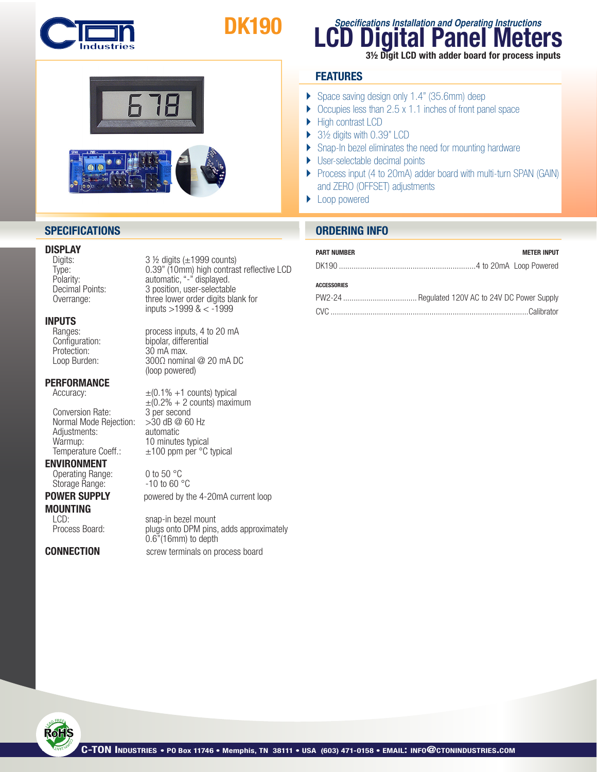

# DK190





# **DISPLAY**<br>Digits:

# **INPUTS**<br>Ranges:

Protection:  $30 \text{ mA}$  max.<br>Loop Burden:  $300 \Omega$  nomin

### **PERFORMANCE**

Conversion Rate: 3 per second<br>Normal Mode Rejection: > 30 dB @ 60 Hz Normal Mode Rejection: Adjustments: automatic Warmup:  $10$  minutes typical<br>Temperature Coeff.:  $\pm 100$  ppm per °C

Storage Range:

**MOUNTING** 

 $3$  ½ digits ( $\pm$ 1999 counts) Type: 0.39" (10mm) high contrast reflective LCD<br>Polarity: automatic, "-" displayed. Polarity: automatic, "-" displayed.<br>
Decimal Points: 3 position, user-selectable Decimal Points: 3 position, user-selectable<br>Overrange: three lower order digits bla three lower order digits blank for inputs  $>$ 1999 & < -1999

Ranges: process inputs, 4 to 20 mA<br>Configuration: bipolar, differential Configuration:<br>
Protection: 30 mA max.  $300Ω$  nominal @ 20 mA DC (loop powered) 

Accuracy:  $\pm (0.1\% +1 \text{ counts})$  typical  $\pm (0.2\% + 2 \text{ counts})$  maximum<br>3 per second  $±100$  ppm per  $°C$  typical

**ENVIRONMENT**<br>
Operating Range: 0 to 50 °C<br>
Storage Range: 10 to 60 °C

**POWER SUPPLY** powered by the 4-20mA current loop

LCD: snap-in bezel mount<br>Process Board: blugs onto DPM pins plugs onto DPM pins, adds approximately 0.6"(16mm) to depth **CONNECTION** screw terminals on process board

# **LCD Digital Panel Meters Specifications Installation and Operating Instructions** 3½ Digit LCD with adder board for process inputs

# **FEATURES**

- } Space saving design only 1.4" (35.6mm) deep
- $\triangleright$  Occupies less than 2.5 x 1.1 inches of front panel space
- ▶ High contrast LCD
- ▶ 3½ digits with 0.39" LCD
- ▶ Snap-In bezel eliminates the need for mounting hardware
- ▶ User-selectable decimal points
- } Process input (4 to 20mA) adder board with multi-turn SPAN (GAIN) and ZERO (OFFSET) adjustments
- ▶ Loop powered

# **SPECIFICATIONS ORDERING INFO**

## PART NUMBER METER INPUT

### **ACCESSORIES**